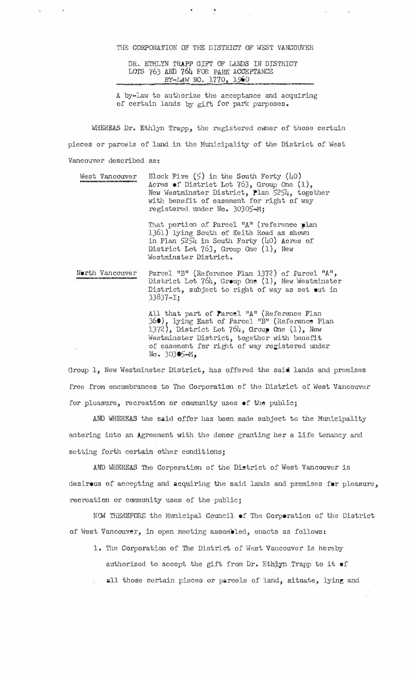THE CORPORATION OF THE DISTRICT OF WEST VANCOUVER

DR. ETHLYN TRAPP GIFT OF LANDS IN DISTRICT LOTS 763 AND 764 FOR PARK ACCEPTANCE BY-LAW NO. 1770, 19 \_\_\_\_\_\_\_\_\_ )<br>genotis (on "tie-ramatyk-vez-satellinge/ny-paratytan-tie-ramatyko)

A by-law to authorize the acceptance and acquiring of certain lands by gift for park purposes.

WHEREAS Dr. Ethlyn Trapp, the registered owner of those certain pieces or parcels of land in the Municipality of the District of West Vancouver described as:

West Vancouver Block Five (5) in the South Forty (40) Acres of District Lot  $763$ , Group One  $(1)$ , New Westminster District, Plan 5254, together with benefit of easement for right of way registered under No. 30305-M;

> That portion of Parcel "A" (reference plan 1361) lying South of Keith Road as shown in Plan *5251,* in South Forty (ho) Acres oi' District Lot 76J, Group One (1), New Westminster District.

North Vancouver Parcel "B" (Reference Plan 1372) of Parcel "A", District Lot  $764$ , Group One  $(1)$ , New Westminster District, subject to right of way as set out in J3837-I;

> All that part of Parcel "A" (Reference Plan 369), lying East of Parcel "B" (Reference Plan<br>1372) District Lot 764, Croup One (1) New 13 *{,.),* District Lot 7ola1, Group One (l), New Westminster District, together with benefit of easement for right of way registered under No. 30J05-M,

Group 1, New Westminster District, has offered the said lands and premises free from encumbrances to The Corporation of the District of West Vancouver for pleasure, recreation or community uses of the public;

AND WHEREAS the said offer has been made subject to the Municipality entering into an Agreement with the donor granting her a life tenancy and setting forth certain other conditions;

AND WHEREAS The Corporation of the District of West Vancouver is desirous of accepting and acquiring the said lands and premises for pleasure, recreation or community uses of the public;

NOW THEREFORE the Municipal Council of The Corporation of the District of west Vancouver, in open meeting assembled, enacts as follows:

- 1. The Corporation of The District of Wost Vancouver is hereby authorized to accept the gift from Dr. Ethiyn Trapp to it  $\bullet$ f
- all those certain pieces or parcels of land, situate, lying and